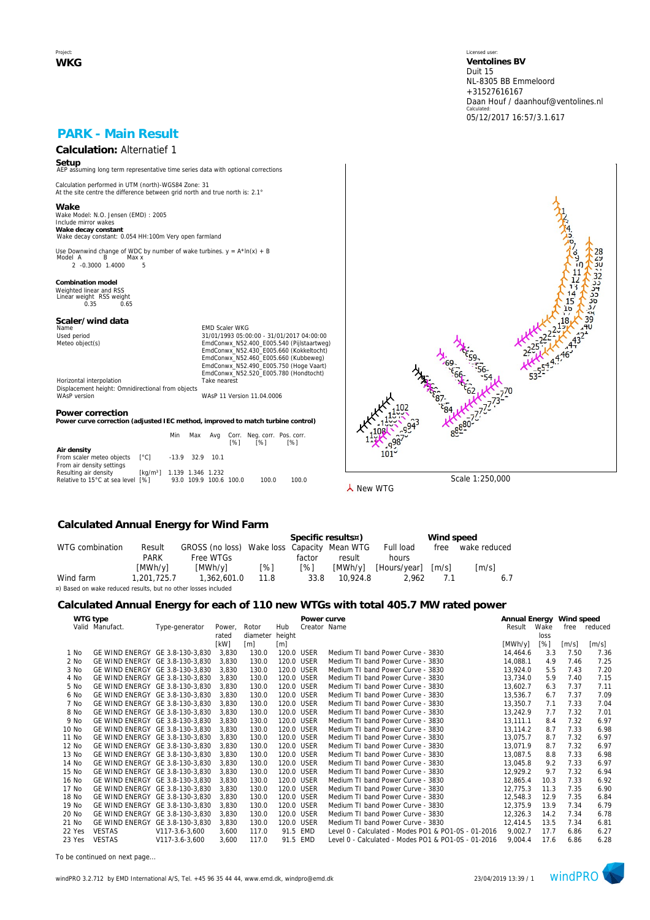Project: **WKG** Licensed user: **Ventolines BV**  Duit 15 NL-8305 BB Emmeloord +31527616167 Daan Houf / daanhouf@ventolines.nl Calculated: 05/12/2017 16:57/3.1.617

## **PARK - Main Result**

# **Calculation:** Alternatief 1

**Setup** AEP assuming long term representative time series data with optional corrections

Calculation performed in UTM (north)-WGS84 Zone: 31 At the site centre the difference between grid north and true north is: 2.1°

**Wake** Wake Model: N.O. Jensen (EMD) : 2005 Include mirror wakes **Wake decay constant** Wake decay constant: 0.054 HH:100m Very open farmland

Use Downwind change of WDC by number of wake turbines.  $y = A^* \ln(x) + B$ <br>Model A B Max x нег д. — Б. — тиах х.<br>2. -0.3000. 1.4000. — 5.

**Combination model** Weighted linear and RSS Linear weight RSS weight 0.35 0.65

## **Scaler/wind data**

Name Content of Maria Content of Maria Content of Maria Content of Maria Content of Maria Content of Maria Content Content of Maria Content Content Of Maria Content Content Of Maria Content Content Of Maria Content Content Used period<br>
Meteo object(s)<br>
Meteo object(s)<br>
EmdConwx\_N52.400\_E005.540 (Pijlstaartweg)<br>
EmdConwx\_N52.400\_E005.660 (Kukbelweg)<br>
EmdConwx\_N52.460\_E005.660 (Kukbelweg)<br>
EmdConwx\_N52.490\_E005.750 (Hoge Vaart) EmdConwx\_N52.520\_E005.780 (Hondtocht) Horizontal interpolation Take nearest

Displacement height: Omnidirectional from objects WAsP version WAsP 11 Version 11.04.0006

#### **Power correction**

**Power curve correction (adjusted IEC method, improved to match turbine control)**

|                                   |                                        | Min                    | Max | [%] | Avg Corr. Neg. corr. Pos. corr.<br>[%] | <b>1%1</b> |
|-----------------------------------|----------------------------------------|------------------------|-----|-----|----------------------------------------|------------|
| Air density                       |                                        |                        |     |     |                                        |            |
| From scaler meteo objects         | $\lceil$ °Cl -13.9 32.9 10.1           |                        |     |     |                                        |            |
| From air density settings         |                                        |                        |     |     |                                        |            |
| Resulting air density             | [kg/m <sup>3</sup> ] 1.139 1.346 1.232 |                        |     |     |                                        |            |
| Relative to 15°C at sea level [%] |                                        | 93.0 109.9 100.6 100.0 |     |     | 100.0                                  | 100.0      |



**人** New WTG

#### **Calculated Annual Energy for Wind Farm**

|                                                                |             |                                             |      |        | Specific results¤) |                      | Wind speed          |                     |
|----------------------------------------------------------------|-------------|---------------------------------------------|------|--------|--------------------|----------------------|---------------------|---------------------|
| WTG combination                                                | Result      | GROSS (no loss) Wake loss Capacity Mean WTG |      |        |                    | Full load            | free                | wake reduced        |
|                                                                | <b>PARK</b> | Free WTGs                                   |      | factor | result             | hours                |                     |                     |
|                                                                | [MWh/v]     | [MWh/v]                                     | [%]  | [%]    |                    | [MWh/y] [Hours/year] | $\lceil m/s \rceil$ | $\lceil m/s \rceil$ |
| Wind farm                                                      | 1.201.725.7 | 1,362,601.0                                 | 11.8 | 33.8   | 10.924.8           | 2.962                | 71                  |                     |
| ¤) Based on wake reduced results, but no other losses included |             |                                             |      |        |                    |                      |                     |                     |

### **Calculated Annual Energy for each of 110 new WTGs with total 405.7 MW rated power**

|        | WTG type                        |                |        |          |                   | Power curve  |                                                     | Annual Energy Wind speed |      |       |         |
|--------|---------------------------------|----------------|--------|----------|-------------------|--------------|-----------------------------------------------------|--------------------------|------|-------|---------|
|        | Valid Manufact.                 | Type-generator | Power, | Rotor    | Hub               | Creator Name |                                                     | Result                   | Wake | free  | reduced |
|        |                                 |                | rated  | diameter | height            |              |                                                     |                          | loss |       |         |
|        |                                 |                | [kW]   | [m]      | $\lceil m \rceil$ |              |                                                     | [MWh/y]                  | [%]  | [m/s] | [m/s]   |
| 1 No   | GE WIND ENERGY GE 3.8-130-3,830 |                | 3,830  | 130.0    | 120.0 USER        |              | Medium TI band Power Curve - 3830                   | 14,464.6                 | 3.3  | 7.50  | 7.36    |
| 2 No   | GE WIND ENERGY GE 3.8-130-3.830 |                | 3,830  | 130.0    | 120.0 USER        |              | Medium TI band Power Curve - 3830                   | 14.088.1                 | 4.9  | 7.46  | 7.25    |
| 3 No   | GE WIND ENERGY GE 3.8-130-3.830 |                | 3.830  | 130.0    | 120.0 USER        |              | Medium TI band Power Curve - 3830                   | 13,924.0                 | 5.5  | 7.43  | 7.20    |
| 4 No   | GE WIND ENERGY GE 3.8-130-3,830 |                | 3.830  | 130.0    | 120.0 USER        |              | Medium TI band Power Curve - 3830                   | 13.734.0                 | 5.9  | 7.40  | 7.15    |
| 5 No   | GE WIND ENERGY GE 3.8-130-3,830 |                | 3,830  | 130.0    | 120.0 USER        |              | Medium TJ band Power Curve - 3830                   | 13.602.7                 | 6.3  | 7.37  | 7.11    |
| 6 No   | GE WIND ENERGY GE 3.8-130-3.830 |                | 3.830  | 130.0    | 120.0 USER        |              | Medium TI band Power Curve - 3830                   | 13,536.7                 | 6.7  | 7.37  | 7.09    |
| 7 No   | GE WIND ENERGY GE 3.8-130-3,830 |                | 3,830  | 130.0    |                   | 120.0 USER   | Medium TI band Power Curve - 3830                   | 13,350.7                 | 7.1  | 7.33  | 7.04    |
| 8 No   | GE WIND ENERGY GE 3.8-130-3,830 |                | 3,830  | 130.0    | 120.0 USER        |              | Medium TI band Power Curve - 3830                   | 13,242.9                 | 7.7  | 7.32  | 7.01    |
| 9 No   | GE WIND ENERGY GE 3.8-130-3.830 |                | 3,830  | 130.0    | 120.0 USER        |              | Medium TI band Power Curve - 3830                   | 13.111.1                 | 8.4  | 7.32  | 6.97    |
| 10 No  | GE WIND ENERGY GE 3.8-130-3,830 |                | 3.830  | 130.0    | 120.0 USER        |              | Medium TI band Power Curve - 3830                   | 13,114.2                 | 8.7  | 7.33  | 6.98    |
| 11 No  | GE WIND ENERGY GE 3.8-130-3.830 |                | 3.830  | 130.0    | 120.0 USER        |              | Medium TI band Power Curve - 3830                   | 13.075.7                 | 8.7  | 7.32  | 6.97    |
| 12 No  | GE WIND ENERGY GE 3.8-130-3.830 |                | 3,830  | 130.0    | 120.0 USER        |              | Medium TI band Power Curve - 3830                   | 13,071.9                 | 8.7  | 7.32  | 6.97    |
| 13 No  | GE WIND ENERGY GE 3.8-130-3.830 |                | 3.830  | 130.0    | 120.0 USER        |              | Medium TI band Power Curve - 3830                   | 13,087.5                 | 8.8  | 7.33  | 6.98    |
| 14 No  | GE WIND ENERGY GE 3.8-130-3,830 |                | 3.830  | 130.0    | 120.0 USER        |              | Medium TI band Power Curve - 3830                   | 13,045.8                 | 9.2  | 7.33  | 6.97    |
| 15 No  | GE WIND ENERGY GE 3.8-130-3,830 |                | 3,830  | 130.0    | 120.0 USER        |              | Medium TI band Power Curve - 3830                   | 12,929.2                 | 9.7  | 7.32  | 6.94    |
| 16 No  | GE WIND ENERGY GE 3.8-130-3,830 |                | 3,830  | 130.0    | 120.0 USER        |              | Medium TI band Power Curve - 3830                   | 12.865.4                 | 10.3 | 7.33  | 6.92    |
| 17 No  | GE WIND ENERGY GE 3.8-130-3.830 |                | 3,830  | 130.0    | 120.0 USER        |              | Medium TI band Power Curve - 3830                   | 12,775.3                 | 11.3 | 7.35  | 6.90    |
| 18 No  | GE WIND ENERGY GE 3.8-130-3,830 |                | 3,830  | 130.0    |                   | 120.0 USER   | Medium TI band Power Curve - 3830                   | 12,548.3                 | 12.9 | 7.35  | 6.84    |
| 19 No  | GE WIND ENERGY GE 3.8-130-3.830 |                | 3,830  | 130.0    | 120.0 USER        |              | Medium TI band Power Curve - 3830                   | 12,375.9                 | 13.9 | 7.34  | 6.79    |
| 20 No  | GE WIND ENERGY GE 3.8-130-3.830 |                | 3,830  | 130.0    | 120.0 USER        |              | Medium TI band Power Curve - 3830                   | 12,326.3                 | 14.2 | 7.34  | 6.78    |
| 21 No  | GE WIND ENERGY GE 3.8-130-3.830 |                | 3,830  | 130.0    | 120.0 USER        |              | Medium TI band Power Curve - 3830                   | 12,414.5                 | 13.5 | 7.34  | 6.81    |
| 22 Yes | <b>VESTAS</b>                   | V117-3.6-3,600 | 3.600  | 117.0    |                   | 91.5 EMD     | Level 0 - Calculated - Modes PO1 & PO1-0S - 01-2016 | 9,002.7                  | 17.7 | 6.86  | 6.27    |
| 23 Yes | <b>VESTAS</b>                   | V117-3.6-3.600 | 3,600  | 117.0    |                   | 91.5 EMD     | Level 0 - Calculated - Modes PO1 & PO1-0S - 01-2016 | 9,004.4                  | 17.6 | 6.86  | 6.28    |

*To be continued on next page...*

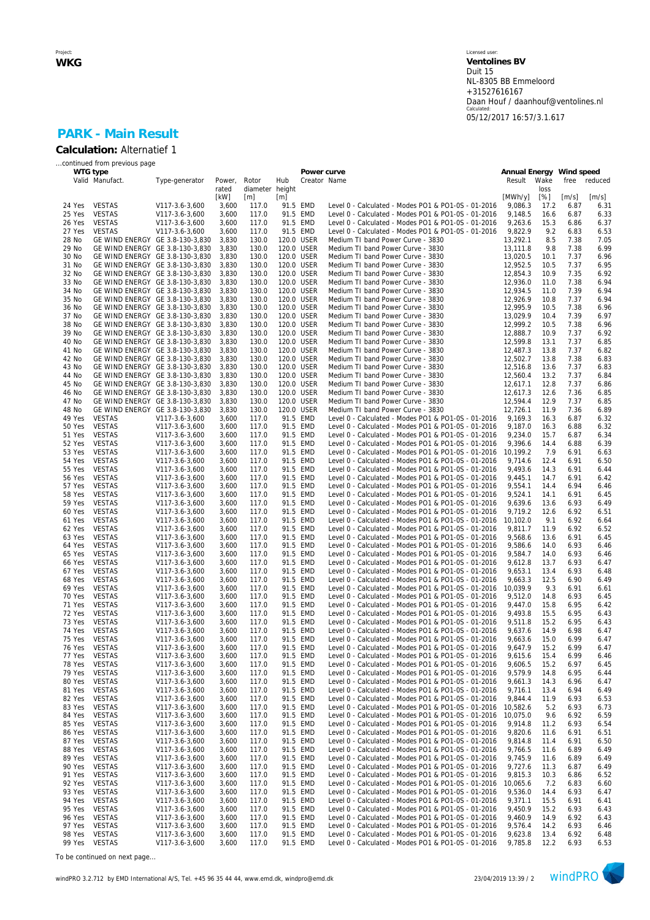#### Licensed user: **Ventolines BV**  Duit 15 NL-8305 BB Emmeloord +31527616167 Daan Houf / daanhouf@ventolines.nl Calculated: 05/12/2017 16:57/3.1.617

## **PARK - Main Result Calculation:** Alternatief 1

|                  | continued from previous page                                       |                                  |                |                        |            |                          |                                                                                                            |                          |              |              |              |
|------------------|--------------------------------------------------------------------|----------------------------------|----------------|------------------------|------------|--------------------------|------------------------------------------------------------------------------------------------------------|--------------------------|--------------|--------------|--------------|
|                  | WTG type                                                           |                                  |                |                        |            | Power curve              |                                                                                                            | Annual Energy Wind speed |              |              |              |
|                  | Valid Manufact.                                                    | Type-generator                   | Power,         | Rotor                  | Hub        | Creator Name             |                                                                                                            | Result                   | Wake         | free         | reduced      |
|                  |                                                                    |                                  | rated<br>[kW]  | diameter height<br>[m] | [m]        |                          |                                                                                                            | [MWh/y]                  | loss<br>[%]  | [m/s]        | [m/s]        |
| 24 Yes           | <b>VESTAS</b>                                                      | V117-3.6-3,600                   | 3,600          | 117.0                  |            | 91.5 EMD                 | Level 0 - Calculated - Modes PO1 & PO1-0S - 01-2016                                                        | 9,086.3                  | 17.2         | 6.87         | 6.31         |
| 25 Yes           | <b>VESTAS</b>                                                      | V117-3.6-3,600                   | 3,600          | 117.0                  |            | 91.5 EMD                 | Level 0 - Calculated - Modes PO1 & PO1-0S - 01-2016                                                        | 9,148.5                  | 16.6         | 6.87         | 6.33         |
| 26 Yes           | <b>VESTAS</b>                                                      | V117-3.6-3,600                   | 3,600          | 117.0                  |            | 91.5 EMD                 | Level 0 - Calculated - Modes PO1 & PO1-0S - 01-2016                                                        | 9,263.6                  | 15.3         | 6.86         | 6.37         |
| 27 Yes           | <b>VESTAS</b>                                                      | V117-3.6-3,600                   | 3,600          | 117.0                  |            | 91.5 EMD                 | Level 0 - Calculated - Modes PO1 & PO1-0S - 01-2016                                                        | 9,822.9                  | 9.2          | 6.83         | 6.53         |
| 28 No            | GE WIND ENERGY GE 3.8-130-3,830                                    |                                  | 3,830          | 130.0                  | 120.0 USER |                          | Medium TI band Power Curve - 3830                                                                          | 13,292.1                 | 8.5          | 7.38         | 7.05         |
| 29 No            | GE WIND ENERGY GE 3.8-130-3,830                                    |                                  | 3,830          | 130.0                  |            | 120.0 USER               | Medium TI band Power Curve - 3830                                                                          | 13,111.8                 | 9.8          | 7.38         | 6.99         |
| 30 No            |                                                                    | GE WIND ENERGY GE 3.8-130-3,830  | 3,830          | 130.0                  |            | 120.0 USER               | Medium TI band Power Curve - 3830                                                                          | 13,020.5                 | 10.1         | 7.37         | 6.96         |
| 31 No            | GE WIND ENERGY GE 3.8-130-3,830                                    |                                  | 3,830          | 130.0                  |            | 120.0 USER               | Medium TI band Power Curve - 3830                                                                          | 12,952.5                 | 10.5         | 7.37         | 6.95         |
| 32 No<br>33 No   | GE WIND ENERGY GE 3.8-130-3,830<br>GE WIND ENERGY GE 3.8-130-3,830 |                                  | 3,830<br>3,830 | 130.0<br>130.0         |            | 120.0 USER<br>120.0 USER | Medium TI band Power Curve - 3830<br>Medium TI band Power Curve - 3830                                     | 12,854.3<br>12,936.0     | 10.9<br>11.0 | 7.35<br>7.38 | 6.92<br>6.94 |
| 34 No            | GE WIND ENERGY GE 3.8-130-3,830                                    |                                  | 3,830          | 130.0                  |            | 120.0 USER               | Medium TI band Power Curve - 3830                                                                          | 12,934.5                 | 11.0         | 7.39         | 6.94         |
| 35 No            | GE WIND ENERGY GE 3.8-130-3,830                                    |                                  | 3,830          | 130.0                  |            | 120.0 USER               | Medium TI band Power Curve - 3830                                                                          | 12,926.9                 | 10.8         | 7.37         | 6.94         |
| 36 No            | GE WIND ENERGY GE 3.8-130-3,830                                    |                                  | 3,830          | 130.0                  |            | 120.0 USER               | Medium TI band Power Curve - 3830                                                                          | 12,995.9                 | 10.5         | 7.38         | 6.96         |
| 37 No            | GE WIND ENERGY GE 3.8-130-3,830                                    |                                  | 3,830          | 130.0                  |            | 120.0 USER               | Medium TI band Power Curve - 3830                                                                          | 13,029.9                 | 10.4         | 7.39         | 6.97         |
| 38 No            | GE WIND ENERGY GE 3.8-130-3,830                                    |                                  | 3,830          | 130.0                  |            | 120.0 USER               | Medium TI band Power Curve - 3830                                                                          | 12,999.2                 | 10.5         | 7.38         | 6.96         |
| 39 No            | GE WIND ENERGY GE 3.8-130-3,830                                    |                                  | 3,830          | 130.0                  |            | 120.0 USER               | Medium TI band Power Curve - 3830                                                                          | 12,888.7                 | 10.9         | 7.37         | 6.92         |
| 40 No            | GE WIND ENERGY GE 3.8-130-3,830                                    |                                  | 3,830          | 130.0                  |            | 120.0 USER               | Medium TI band Power Curve - 3830                                                                          | 12,599.8                 | 13.1         | 7.37         | 6.85         |
| 41 No            | GE WIND ENERGY GE 3.8-130-3,830                                    |                                  | 3,830          | 130.0                  |            | 120.0 USER               | Medium TI band Power Curve - 3830                                                                          | 12,487.3                 | 13.8         | 7.37<br>7.38 | 6.82         |
| 42 No<br>43 No   | GE WIND ENERGY GE 3.8-130-3,830<br>GE WIND ENERGY GE 3.8-130-3,830 |                                  | 3,830<br>3,830 | 130.0<br>130.0         |            | 120.0 USER<br>120.0 USER | Medium TI band Power Curve - 3830<br>Medium TI band Power Curve - 3830                                     | 12,502.7<br>12,516.8     | 13.8<br>13.6 | 7.37         | 6.83<br>6.83 |
| 44 No            | GE WIND ENERGY GE 3.8-130-3,830                                    |                                  | 3,830          | 130.0                  |            | 120.0 USER               | Medium TI band Power Curve - 3830                                                                          | 12,560.4                 | 13.2         | 7.37         | 6.84         |
| 45 No            | GE WIND ENERGY GE 3.8-130-3,830                                    |                                  | 3,830          | 130.0                  |            | 120.0 USER               | Medium TI band Power Curve - 3830                                                                          | 12,617.1                 | 12.8         | 7.37         | 6.86         |
| 46 No            | GE WIND ENERGY GE 3.8-130-3,830                                    |                                  | 3,830          | 130.0                  |            | 120.0 USER               | Medium TI band Power Curve - 3830                                                                          | 12,617.3                 | 12.6         | 7.36         | 6.85         |
| 47 No            | GE WIND ENERGY GE 3.8-130-3,830                                    |                                  | 3,830          | 130.0                  |            | 120.0 USER               | Medium TI band Power Curve - 3830                                                                          | 12,594.4                 | 12.9         | 7.37         | 6.85         |
| 48 No            | GE WIND ENERGY GE 3.8-130-3,830                                    |                                  | 3,830          | 130.0                  | 120.0 USER |                          | Medium TI band Power Curve - 3830                                                                          | 12,726.1                 | 11.9         | 7.36         | 6.89         |
| 49 Yes           | <b>VESTAS</b>                                                      | V117-3.6-3,600                   | 3,600          | 117.0                  |            | 91.5 EMD                 | Level 0 - Calculated - Modes PO1 & PO1-0S - 01-2016                                                        | 9,169.3                  | 16.3         | 6.87         | 6.32         |
| 50 Yes           | <b>VESTAS</b>                                                      | V117-3.6-3,600                   | 3,600          | 117.0                  |            | 91.5 EMD                 | Level 0 - Calculated - Modes PO1 & PO1-0S - 01-2016                                                        | 9.187.0                  | 16.3         | 6.88         | 6.32         |
| 51 Yes           | <b>VESTAS</b>                                                      | V117-3.6-3,600                   | 3,600          | 117.0                  |            | 91.5 EMD                 | Level 0 - Calculated - Modes PO1 & PO1-0S - 01-2016                                                        | 9,234.0<br>9.396.6       | 15.7         | 6.87         | 6.34         |
| 52 Yes<br>53 Yes | <b>VESTAS</b><br><b>VESTAS</b>                                     | V117-3.6-3,600<br>V117-3.6-3,600 | 3,600<br>3,600 | 117.0<br>117.0         |            | 91.5 EMD<br>91.5 EMD     | Level 0 - Calculated - Modes PO1 & PO1-0S - 01-2016<br>Level 0 - Calculated - Modes PO1 & PO1-0S - 01-2016 | 10.199.2                 | 14.4<br>7.9  | 6.88<br>6.91 | 6.39<br>6.63 |
| 54 Yes           | <b>VESTAS</b>                                                      | V117-3.6-3,600                   | 3,600          | 117.0                  |            | 91.5 EMD                 | Level 0 - Calculated - Modes PO1 & PO1-0S - 01-2016                                                        | 9,714.6                  | 12.4         | 6.91         | 6.50         |
| 55 Yes           | <b>VESTAS</b>                                                      | V117-3.6-3,600                   | 3,600          | 117.0                  |            | 91.5 EMD                 | Level 0 - Calculated - Modes PO1 & PO1-0S - 01-2016                                                        | 9,493.6                  | 14.3         | 6.91         | 6.44         |
| <b>56 Yes</b>    | <b>VESTAS</b>                                                      | V117-3.6-3,600                   | 3,600          | 117.0                  |            | 91.5 EMD                 | Level 0 - Calculated - Modes PO1 & PO1-0S - 01-2016                                                        | 9.445.1                  | 14.7         | 6.91         | 6.42         |
| 57 Yes           | <b>VESTAS</b>                                                      | V117-3.6-3,600                   | 3,600          | 117.0                  |            | 91.5 EMD                 | Level 0 - Calculated - Modes PO1 & PO1-0S - 01-2016                                                        | 9,554.1                  | 14.4         | 6.94         | 6.46         |
| 58 Yes           | <b>VESTAS</b>                                                      | V117-3.6-3,600                   | 3,600          | 117.0                  |            | 91.5 EMD                 | Level 0 - Calculated - Modes PO1 & PO1-0S - 01-2016                                                        | 9,524.1                  | 14.1         | 6.91         | 6.45         |
| 59 Yes           | <b>VESTAS</b>                                                      | V117-3.6-3,600                   | 3,600          | 117.0                  |            | 91.5 EMD                 | Level 0 - Calculated - Modes PO1 & PO1-0S - 01-2016                                                        | 9,639.6                  | 13.6         | 6.93         | 6.49         |
| 60 Yes           | <b>VESTAS</b>                                                      | V117-3.6-3,600                   | 3,600          | 117.0                  |            | 91.5 EMD                 | Level 0 - Calculated - Modes PO1 & PO1-0S - 01-2016                                                        | 9,719.2                  | 12.6         | 6.92         | 6.51         |
| 61 Yes           | <b>VESTAS</b>                                                      | V117-3.6-3,600                   | 3,600          | 117.0                  |            | 91.5 EMD                 | Level 0 - Calculated - Modes PO1 & PO1-0S - 01-2016                                                        | 10,102.0                 | 9.1          | 6.92         | 6.64         |
| 62 Yes<br>63 Yes | <b>VESTAS</b><br><b>VESTAS</b>                                     | V117-3.6-3,600<br>V117-3.6-3,600 | 3,600<br>3,600 | 117.0<br>117.0         |            | 91.5 EMD<br>91.5 EMD     | Level 0 - Calculated - Modes PO1 & PO1-0S - 01-2016<br>Level 0 - Calculated - Modes PO1 & PO1-0S - 01-2016 | 9,811.7<br>9,568.6       | 11.9<br>13.6 | 6.92<br>6.91 | 6.52<br>6.45 |
| 64 Yes           | <b>VESTAS</b>                                                      | V117-3.6-3,600                   | 3,600          | 117.0                  |            | 91.5 EMD                 | Level 0 - Calculated - Modes PO1 & PO1-0S - 01-2016                                                        | 9,586.6                  | 14.0         | 6.93         | 6.46         |
| 65 Yes           | <b>VESTAS</b>                                                      | V117-3.6-3,600                   | 3,600          | 117.0                  |            | 91.5 EMD                 | Level 0 - Calculated - Modes PO1 & PO1-0S - 01-2016                                                        | 9,584.7                  | 14.0         | 6.93         | 6.46         |
| 66 Yes           | <b>VESTAS</b>                                                      | V117-3.6-3,600                   | 3,600          | 117.0                  |            | 91.5 EMD                 | Level 0 - Calculated - Modes PO1 & PO1-0S - 01-2016                                                        | 9,612.8                  | 13.7         | 6.93         | 6.47         |
| 67 Yes           | <b>VESTAS</b>                                                      | V117-3.6-3,600                   | 3,600          | 117.0                  |            | 91.5 EMD                 | Level 0 - Calculated - Modes PO1 & PO1-0S - 01-2016                                                        | 9,653.1                  | 13.4         | 6.93         | 6.48         |
| 68 Yes           | <b>VESTAS</b>                                                      | V117-3.6-3,600                   | 3,600          | 117.0                  |            | 91.5 EMD                 | Level 0 - Calculated - Modes PO1 & PO1-0S - 01-2016                                                        | 9,663.3                  | 12.5         | 6.90         | 6.49         |
| 69 Yes           | <b>VESTAS</b>                                                      | V117-3.6-3,600                   | 3,600          | 117.0                  |            | 91.5 EMD                 | Level 0 - Calculated - Modes PO1 & PO1-0S - 01-2016                                                        | 10,039.9                 | 9.3          | 6.91         | 6.61         |
| 70 Yes           | <b>VESTAS</b>                                                      | V117-3.6-3,600                   | 3,600          | 117.0                  |            | 91.5 EMD                 | Level 0 - Calculated - Modes PO1 & PO1-0S - 01-2016                                                        | 9,512.0                  | 14.8         | 6.93         | 6.45         |
| 71 Yes<br>72 Yes | <b>VESTAS</b><br><b>VESTAS</b>                                     | V117-3.6-3,600<br>V117-3.6-3,600 | 3,600<br>3,600 | 117.0<br>117.0         |            | 91.5 EMD<br>91.5 EMD     | Level 0 - Calculated - Modes PO1 & PO1-0S - 01-2016<br>Level 0 - Calculated - Modes PO1 & PO1-0S - 01-2016 | 9,447.0<br>9,493.8       | 15.8<br>15.5 | 6.95<br>6.95 | 6.42<br>6.43 |
| 73 Yes           | <b>VESTAS</b>                                                      | V117-3.6-3,600                   | 3,600          | 117.0                  |            | 91.5 EMD                 | Level 0 - Calculated - Modes PO1 & PO1-0S - 01-2016                                                        | 9,511.8                  | 15.2         | 6.95         | 6.43         |
| 74 Yes           | <b>VESTAS</b>                                                      | V117-3.6-3,600                   | 3,600          | 117.0                  |            | 91.5 EMD                 | Level 0 - Calculated - Modes PO1 & PO1-0S - 01-2016                                                        | 9,637.6                  | 14.9         | 6.98         | 6.47         |
| 75 Yes           | <b>VESTAS</b>                                                      | V117-3.6-3,600                   | 3,600          | 117.0                  |            | 91.5 EMD                 | Level 0 - Calculated - Modes PO1 & PO1-0S - 01-2016                                                        | 9,663.6                  | 15.0         | 6.99         | 6.47         |
| 76 Yes           | <b>VESTAS</b>                                                      | V117-3.6-3,600                   | 3,600          | 117.0                  |            | 91.5 EMD                 | Level 0 - Calculated - Modes PO1 & PO1-0S - 01-2016                                                        | 9,647.9                  | 15.2         | 6.99         | 6.47         |
| 77 Yes           | <b>VESTAS</b>                                                      | V117-3.6-3,600                   | 3,600          | 117.0                  |            | 91.5 EMD                 | Level 0 - Calculated - Modes PO1 & PO1-0S - 01-2016                                                        | 9,615.6                  | 15.4         | 6.99         | 6.46         |
| 78 Yes           | VESTAS                                                             | V117-3.6-3,600                   | 3,600          | 117.0                  |            | 91.5 EMD                 | Level 0 - Calculated - Modes PO1 & PO1-0S - 01-2016                                                        | 9,606.5                  | 15.2         | 6.97         | 6.45         |
| 79 Yes           | <b>VESTAS</b>                                                      | V117-3.6-3,600                   | 3,600          | 117.0                  |            | 91.5 EMD                 | Level 0 - Calculated - Modes PO1 & PO1-0S - 01-2016                                                        | 9,579.9                  | 14.8         | 6.95         | 6.44         |
| 80 Yes<br>81 Yes | VESTAS<br><b>VESTAS</b>                                            | V117-3.6-3,600<br>V117-3.6-3,600 | 3,600<br>3,600 | 117.0<br>117.0         |            | 91.5 EMD<br>91.5 EMD     | Level 0 - Calculated - Modes PO1 & PO1-0S - 01-2016<br>Level 0 - Calculated - Modes PO1 & PO1-0S - 01-2016 | 9,661.3<br>9,716.1       | 14.3         | 6.96<br>6.94 | 6.47<br>6.49 |
| 82 Yes           | <b>VESTAS</b>                                                      | V117-3.6-3,600                   | 3,600          | 117.0                  |            | 91.5 EMD                 | Level 0 - Calculated - Modes PO1 & PO1-0S - 01-2016                                                        | 9,844.4                  | 13.4<br>11.9 | 6.93         | 6.53         |
| 83 Yes           | <b>VESTAS</b>                                                      | V117-3.6-3,600                   | 3,600          | 117.0                  |            | 91.5 EMD                 | Level 0 - Calculated - Modes PO1 & PO1-0S - 01-2016                                                        | 10.582.6                 | 5.2          | 6.93         | 6.73         |
| 84 Yes           | <b>VESTAS</b>                                                      | V117-3.6-3,600                   | 3,600          | 117.0                  |            | 91.5 EMD                 | Level 0 - Calculated - Modes PO1 & PO1-0S - 01-2016                                                        | 10,075.0                 | 9.6          | 6.92         | 6.59         |
| 85 Yes           | <b>VESTAS</b>                                                      | V117-3.6-3,600                   | 3,600          | 117.0                  |            | 91.5 EMD                 | Level 0 - Calculated - Modes PO1 & PO1-0S - 01-2016                                                        | 9,914.8                  | 11.2         | 6.93         | 6.54         |
| 86 Yes           | <b>VESTAS</b>                                                      | V117-3.6-3,600                   | 3,600          | 117.0                  |            | 91.5 EMD                 | Level 0 - Calculated - Modes PO1 & PO1-0S - 01-2016                                                        | 9,820.6                  | 11.6         | 6.91         | 6.51         |
| 87 Yes           | <b>VESTAS</b>                                                      | V117-3.6-3,600                   | 3,600          | 117.0                  |            | 91.5 EMD                 | Level 0 - Calculated - Modes PO1 & PO1-0S - 01-2016                                                        | 9,814.8                  | 11.4         | 6.91         | 6.50         |
| 88 Yes           | <b>VESTAS</b>                                                      | V117-3.6-3,600                   | 3,600          | 117.0                  |            | 91.5 EMD                 | Level 0 - Calculated - Modes PO1 & PO1-0S - 01-2016                                                        | 9,766.5                  | 11.6         | 6.89         | 6.49         |
| 89 Yes           | <b>VESTAS</b>                                                      | V117-3.6-3,600                   | 3,600          | 117.0                  |            | 91.5 EMD                 | Level 0 - Calculated - Modes PO1 & PO1-0S - 01-2016                                                        | 9,745.9                  | 11.6         | 6.89         | 6.49         |
| 90 Yes           | <b>VESTAS</b>                                                      | V117-3.6-3,600                   | 3,600          | 117.0                  |            | 91.5 EMD<br>91.5 EMD     | Level 0 - Calculated - Modes PO1 & PO1-0S - 01-2016                                                        | 9,727.6<br>9,815.3       | 11.3         | 6.87         | 6.49         |
| 91 Yes<br>92 Yes | VESTAS<br><b>VESTAS</b>                                            | V117-3.6-3,600<br>V117-3.6-3,600 | 3,600<br>3,600 | 117.0<br>117.0         |            | 91.5 EMD                 | Level 0 - Calculated - Modes PO1 & PO1-0S - 01-2016<br>Level 0 - Calculated - Modes PO1 & PO1-0S - 01-2016 | 10,065.6                 | 10.3<br>7.2  | 6.86<br>6.83 | 6.52<br>6.60 |
| 93 Yes           | <b>VESTAS</b>                                                      | V117-3.6-3,600                   | 3,600          | 117.0                  |            | 91.5 EMD                 | Level 0 - Calculated - Modes PO1 & PO1-0S - 01-2016                                                        | 9,536.0                  | 14.4         | 6.93         | 6.47         |
| 94 Yes           | <b>VESTAS</b>                                                      | V117-3.6-3,600                   | 3,600          | 117.0                  |            | 91.5 EMD                 | Level 0 - Calculated - Modes PO1 & PO1-0S - 01-2016                                                        | 9,371.1                  | 15.5         | 6.91         | 6.41         |
| 95 Yes           | <b>VESTAS</b>                                                      | V117-3.6-3,600                   | 3,600          | 117.0                  |            | 91.5 EMD                 | Level 0 - Calculated - Modes PO1 & PO1-0S - 01-2016                                                        | 9,450.9                  | 15.2         | 6.93         | 6.43         |
| 96 Yes           | <b>VESTAS</b>                                                      | V117-3.6-3,600                   | 3,600          | 117.0                  |            | 91.5 EMD                 | Level 0 - Calculated - Modes PO1 & PO1-0S - 01-2016                                                        | 9,460.9                  | 14.9         | 6.92         | 6.43         |
| 97 Yes           | <b>VESTAS</b>                                                      | V117-3.6-3,600                   | 3,600          | 117.0                  |            | 91.5 EMD                 | Level 0 - Calculated - Modes PO1 & PO1-0S - 01-2016                                                        | 9,576.4                  | 14.2         | 6.93         | 6.46         |
| 98 Yes           | <b>VESTAS</b>                                                      | V117-3.6-3,600                   | 3,600          | 117.0                  |            | 91.5 EMD                 | Level 0 - Calculated - Modes PO1 & PO1-0S - 01-2016                                                        | 9,623.8                  | 13.4         | 6.92         | 6.48         |
| 99 Yes           | <b>VESTAS</b>                                                      | V117-3.6-3,600                   | 3,600          | 117.0                  |            | 91.5 EMD                 | Level 0 - Calculated - Modes PO1 & PO1-0S - 01-2016                                                        | 9,785.8                  | 12.2         | 6.93         | 6.53         |

*To be continued on next page...*

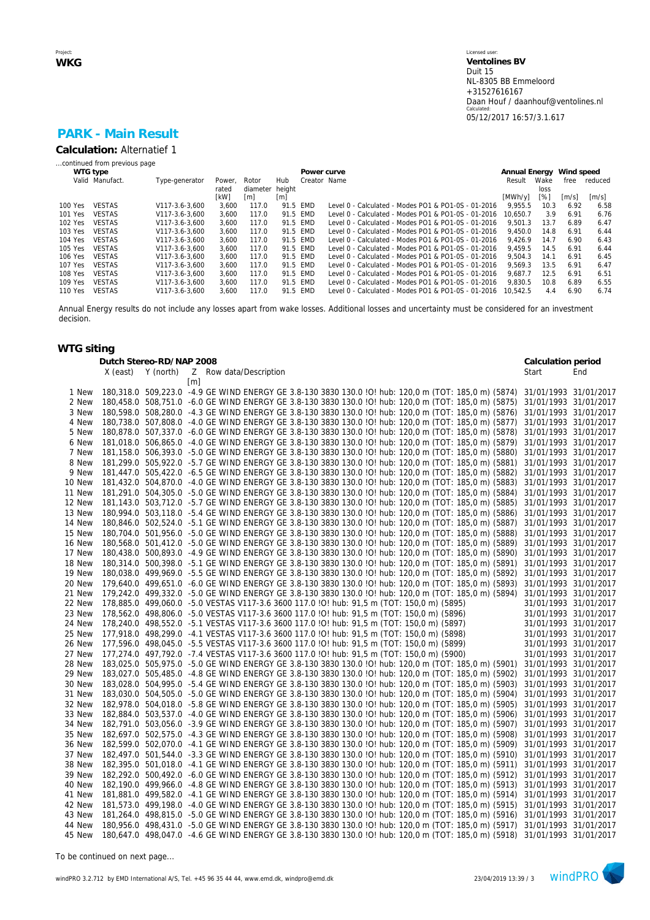# **PARK - Main Result**

**Calculation:** Alternatief 1

| continued from previous page |  |  |
|------------------------------|--|--|
|                              |  |  |

|         | WTG type        |                |       |                   |                   | Power curve  |                                                     | Annual Energy |      | Wind speed            |                     |
|---------|-----------------|----------------|-------|-------------------|-------------------|--------------|-----------------------------------------------------|---------------|------|-----------------------|---------------------|
|         | Valid Manufact. | Type-generator | Power | Rotor             | Hub               | Creator Name |                                                     | Result        | Wake | free                  | reduced             |
|         |                 |                | rated | diameter height   |                   |              |                                                     |               | loss |                       |                     |
|         |                 |                | [kW]  | $\lceil m \rceil$ | $\lceil m \rceil$ |              |                                                     | [MWh/y]       | [%]  | $\lfloor m/s \rfloor$ | $\lceil m/s \rceil$ |
| 100 Yes | <b>VESTAS</b>   | V117-3.6-3.600 | 3.600 | 117.0             | 91.5 EMD          |              | Level 0 - Calculated - Modes PO1 & PO1-0S - 01-2016 | 9.955.5       | 10.3 | 6.92                  | 6.58                |
| 101 Yes | <b>VESTAS</b>   | V117-3.6-3.600 | 3.600 | 117.0             | 91.5 EMD          |              | Level 0 - Calculated - Modes PO1 & PO1-0S - 01-2016 | 10.650.7      | 3.9  | 6.91                  | 6.76                |
| 102 Yes | <b>VESTAS</b>   | V117-3.6-3.600 | 3.600 | 117.0             | 91.5 FMD          |              | Level 0 - Calculated - Modes PO1 & PO1-0S - 01-2016 | 9.501.3       | 13.7 | 6.89                  | 6.47                |
| 103 Yes | <b>VESTAS</b>   | V117-3.6-3.600 | 3.600 | 117.0             | 91.5 FMD          |              | Level 0 - Calculated - Modes PO1 & PO1-0S - 01-2016 | 9.450.0       | 14.8 | 6.91                  | 6.44                |
| 104 Yes | <b>VESTAS</b>   | V117-3.6-3.600 | 3.600 | 117.0             | 91.5 FMD          |              | Level 0 - Calculated - Modes PO1 & PO1-0S - 01-2016 | 9.426.9       | 14.7 | 6.90                  | 6.43                |
| 105 Yes | <b>VESTAS</b>   | V117-3.6-3.600 | 3.600 | 117.0             | 91.5 EMD          |              | Level 0 - Calculated - Modes PO1 & PO1-0S - 01-2016 | 9.459.5       | 14.5 | 6.91                  | 6.44                |
| 106 Yes | <b>VESTAS</b>   | V117-3.6-3.600 | 3.600 | 117.0             | 91.5 FMD          |              | Level 0 - Calculated - Modes PO1 & PO1-0S - 01-2016 | 9.504.3       | 14.1 | 6.91                  | 6.45                |
| 107 Yes | <b>VESTAS</b>   | V117-3.6-3.600 | 3.600 | 117.0             | 91.5 FMD          |              | Level 0 - Calculated - Modes PO1 & PO1-0S - 01-2016 | 9.569.3       | 13.5 | 6.91                  | 6.47                |
| 108 Yes | <b>VESTAS</b>   | V117-3.6-3.600 | 3.600 | 117.0             | 91.5 FMD          |              | Level 0 - Calculated - Modes PO1 & PO1-0S - 01-2016 | 9.687.7       | 12.5 | 6.91                  | 6.51                |
| 109 Yes | <b>VESTAS</b>   | V117-3.6-3.600 | 3.600 | 117.0             | 91.5 FMD          |              | Level 0 - Calculated - Modes PO1 & PO1-0S - 01-2016 | 9.830.5       | 10.8 | 6.89                  | 6.55                |
| 110 Yes | <b>VESTAS</b>   | V117-3.6-3.600 | 3.600 | 117.0             | 91.5 FMD          |              | Level 0 - Calculated - Modes PO1 & PO1-0S - 01-2016 | 10.542.5      | 4.4  | 6.90                  | 6.74                |
|         |                 |                |       |                   |                   |              |                                                     |               |      |                       |                     |

Annual Energy results do not include any losses apart from wake losses. Additional losses and uncertainty must be considered for an investment decision.

### **WTG siting**

|        | X (east) | Dutch Stereo-RD/NAP 2008<br>Y (north) | Z Row data/Description                                                                                                     | Calculation period<br>Start | End                   |
|--------|----------|---------------------------------------|----------------------------------------------------------------------------------------------------------------------------|-----------------------------|-----------------------|
|        |          |                                       | $\lceil m \rceil$                                                                                                          |                             |                       |
| 1 New  |          |                                       | 180,318.0 509,223.0 -4.9 GE WIND ENERGY GE 3.8-130 3830 130.0 !O! hub: 120,0 m (TOT: 185,0 m) (5874)                       | 31/01/1993 31/01/2017       |                       |
| 2 New  |          |                                       | 180,458.0 508,751.0 -6.0 GE WIND ENERGY GE 3.8-130 3830 130.0 !O! hub: 120,0 m (TOT: 185,0 m) (5875)                       | 31/01/1993 31/01/2017       |                       |
| 3 New  |          |                                       | 180,598.0 508,280.0 -4.3 GE WIND ENERGY GE 3.8-130 3830 130.0 !O! hub: 120,0 m (TOT: 185,0 m) (5876)                       | 31/01/1993 31/01/2017       |                       |
| 4 New  |          |                                       | 180,738.0 507,808.0 -4.0 GE WIND ENERGY GE 3.8-130 3830 130.0 !O! hub: 120,0 m (TOT: 185,0 m) (5877)                       | 31/01/1993 31/01/2017       |                       |
| 5 New  |          |                                       | 180,878.0 507,337.0 -6.0 GE WIND ENERGY GE 3.8-130 3830 130.0 !O! hub: 120,0 m (TOT: 185,0 m) (5878)                       | 31/01/1993 31/01/2017       |                       |
| 6 New  |          |                                       | 181,018.0 506,865.0 -4.0 GE WIND ENERGY GE 3.8-130 3830 130.0 !O! hub: 120,0 m (TOT: 185,0 m) (5879)                       | 31/01/1993 31/01/2017       |                       |
| 7 New  |          |                                       | 181,158.0 506,393.0 -5.0 GE WIND ENERGY GE 3.8-130 3830 130.0 IO! hub: 120,0 m (TOT: 185,0 m) (5880)                       | 31/01/1993 31/01/2017       |                       |
| 8 New  |          |                                       | 181,299.0 505,922.0 -5.7 GE WIND ENERGY GE 3.8-130 3830 130.0 !O! hub: 120,0 m (TOT: 185,0 m) (5881)                       | 31/01/1993 31/01/2017       |                       |
| 9 New  |          |                                       | 181,447.0 505,422.0 -6.5 GE WIND ENERGY GE 3.8-130 3830 130.0 !O! hub: 120,0 m (TOT: 185,0 m) (5882)                       | 31/01/1993 31/01/2017       |                       |
| 10 New |          |                                       | 181,432.0 504,870.0 -4.0 GE WIND ENERGY GE 3.8-130 3830 130.0 !O! hub: 120,0 m (TOT: 185,0 m) (5883)                       | 31/01/1993 31/01/2017       |                       |
| 11 New |          |                                       | 181,291.0 504,305.0 -5.0 GE WIND ENERGY GE 3.8-130 3830 130.0 !O! hub: 120,0 m (TOT: 185,0 m) (5884)                       | 31/01/1993 31/01/2017       |                       |
| 12 New |          |                                       | 181,143.0 503,712.0 -5.7 GE WIND ENERGY GE 3.8-130 3830 130.0 !O! hub: 120,0 m (TOT: 185,0 m) (5885)                       | 31/01/1993 31/01/2017       |                       |
| 13 New |          |                                       | 180,994.0 503,118.0 -5.4 GE WIND ENERGY GE 3.8-130 3830 130.0 !O! hub: 120,0 m (TOT: 185,0 m) (5886)                       | 31/01/1993 31/01/2017       |                       |
| 14 New |          |                                       | 180,846.0 502,524.0 -5.1 GE WIND ENERGY GE 3.8-130 3830 130.0 !O! hub: 120,0 m (TOT: 185,0 m) (5887)                       | 31/01/1993 31/01/2017       |                       |
| 15 New |          |                                       | 180,704.0 501,956.0 -5.0 GE WIND ENERGY GE 3.8-130 3830 130.0 !O! hub: 120,0 m (TOT: 185,0 m) (5888)                       | 31/01/1993 31/01/2017       |                       |
| 16 New |          |                                       | 180,568.0 501,412.0 -5.0 GE WIND ENERGY GE 3.8-130 3830 130.0 !O! hub: 120,0 m (TOT: 185,0 m) (5889)                       | 31/01/1993 31/01/2017       |                       |
| 17 New |          |                                       | 180,438.0 500,893.0 -4.9 GE WIND ENERGY GE 3.8-130 3830 130.0 !O! hub: 120,0 m (TOT: 185,0 m) (5890)                       | 31/01/1993 31/01/2017       |                       |
| 18 New |          |                                       | 180,314.0 500,398.0 -5.1 GE WIND ENERGY GE 3.8-130 3830 130.0 !O! hub: 120,0 m (TOT: 185,0 m) (5891)                       | 31/01/1993 31/01/2017       |                       |
| 19 New |          |                                       | 180,038.0 499,969.0 -5.5 GE WIND ENERGY GE 3.8-130 3830 130.0 !O! hub: 120,0 m (TOT: 185,0 m) (5892)                       | 31/01/1993 31/01/2017       |                       |
| 20 New |          |                                       | 179,640.0 499,651.0 -6.0 GE WIND ENERGY GE 3.8-130 3830 130.0 !O! hub: 120,0 m (TOT: 185,0 m) (5893)                       | 31/01/1993 31/01/2017       |                       |
| 21 New |          |                                       | 179,242.0 499,332.0 -5.0 GE WIND ENERGY GE 3.8-130 3830 130.0 IO! hub: 120,0 m (TOT: 185,0 m) (5894)                       | 31/01/1993 31/01/2017       |                       |
| 22 New |          |                                       | 178,885.0 499,060.0 -5.0 VESTAS V117-3.6 3600 117.0 !O! hub: 91,5 m (TOT: 150,0 m) (5895)                                  |                             | 31/01/1993 31/01/2017 |
| 23 New |          |                                       | 178,562.0 498,806.0 -5.0 VESTAS V117-3.6 3600 117.0 !O! hub: 91,5 m (TOT: 150,0 m) (5896)                                  | 31/01/1993 31/01/2017       |                       |
| 24 New |          |                                       | 178,240.0 498,552.0 -5.1 VESTAS V117-3.6 3600 117.0 !O! hub: 91,5 m (TOT: 150,0 m) (5897)                                  |                             | 31/01/1993 31/01/2017 |
| 25 New |          |                                       | 177,918.0 498,299.0 -4.1 VESTAS V117-3.6 3600 117.0 ! O! hub: 91,5 m (TOT: 150,0 m) (5898)                                 |                             | 31/01/1993 31/01/2017 |
| 26 New |          |                                       | 177,596.0 498,045.0 -5.5 VESTAS V117-3.6 3600 117.0 !O! hub: 91,5 m (TOT: 150,0 m) (5899)                                  |                             | 31/01/1993 31/01/2017 |
| 27 New |          |                                       | 177,274.0 497,792.0 -7.4 VESTAS V117-3.6 3600 117.0 !O! hub: 91,5 m (TOT: 150,0 m) (5900)                                  | 31/01/1993 31/01/2017       |                       |
| 28 New |          |                                       | 183,025.0 505,975.0 -5.0 GE WIND ENERGY GE 3.8-130 3830 130.0 IO! hub: 120,0 m (TOT: 185,0 m) (5901)                       | 31/01/1993 31/01/2017       |                       |
| 29 New |          |                                       | 183,027.0 505,485.0 -4.8 GE WIND ENERGY GE 3.8-130 3830 130.0 !O! hub: 120,0 m (TOT: 185,0 m) (5902)                       | 31/01/1993 31/01/2017       |                       |
| 30 New |          |                                       | 183,028.0 504,995.0 -5.4 GE WIND ENERGY GE 3.8-130 3830 130.0 !O! hub: 120,0 m (TOT: 185,0 m) (5903)                       | 31/01/1993 31/01/2017       |                       |
| 31 New |          |                                       | 183,030.0 504,505.0 -5.0 GE WIND ENERGY GE 3.8-130 3830 130.0 !O! hub: 120,0 m (TOT: 185,0 m) (5904)                       | 31/01/1993 31/01/2017       |                       |
| 32 New |          |                                       | 182,978.0 504,018.0 -5.8 GE WIND ENERGY GE 3.8-130 3830 130.0 !O! hub: 120,0 m (TOT: 185,0 m) (5905)                       | 31/01/1993 31/01/2017       |                       |
| 33 New |          |                                       | 182,884.0 503,537.0 -4.0 GE WIND ENERGY GE 3.8-130 3830 130.0 !O! hub: 120,0 m (TOT: 185,0 m) (5906)                       | 31/01/1993 31/01/2017       |                       |
| 34 New |          |                                       | 182,791.0 503,056.0 -3.9 GE WIND ENERGY GE 3.8-130 3830 130.0 !O! hub: 120,0 m (TOT: 185,0 m) (5907)                       | 31/01/1993 31/01/2017       |                       |
| 35 New |          |                                       | 182,697.0 502,575.0 -4.3 GE WIND ENERGY GE 3.8-130 3830 130.0 !O! hub: 120,0 m (TOT: 185,0 m) (5908)                       | 31/01/1993 31/01/2017       |                       |
| 36 New |          |                                       | 182,599.0 502,070.0 -4.1 GE WIND ENERGY GE 3.8-130 3830 130.0 !O! hub: 120,0 m (TOT: 185,0 m) (5909)                       | 31/01/1993 31/01/2017       |                       |
| 37 New |          |                                       | 182,497.0 501,544.0 -3.3 GE WIND ENERGY GE 3.8-130 3830 130.0 !O! hub: 120,0 m (TOT: 185,0 m) (5910)                       | 31/01/1993 31/01/2017       |                       |
| 38 New |          |                                       | 182,395.0 501,018.0 -4.1 GE WIND ENERGY GE 3.8-130 3830 130.0 !O! hub: 120,0 m (TOT: 185,0 m) (5911)                       | 31/01/1993 31/01/2017       |                       |
| 39 New |          |                                       | 182,292.0 500,492.0 -6.0 GE WIND ENERGY GE 3.8-130 3830 130.0 !O! hub: 120,0 m (TOT: 185,0 m) (5912)                       | 31/01/1993 31/01/2017       |                       |
| 40 New |          |                                       | 182,190.0 499,966.0 -4.8 GE WIND ENERGY GE 3.8-130 3830 130.0 IO! hub: 120,0 m (TOT: 185,0 m) (5913)                       | 31/01/1993 31/01/2017       |                       |
| 41 New |          |                                       | 181,881.0 499,582.0 -4.1 GE WIND ENERGY GE 3.8-130 3830 130.0 !O! hub: 120,0 m (TOT: 185,0 m) (5914)                       | 31/01/1993 31/01/2017       |                       |
| 42 New |          |                                       | 181,573.0 499,198.0 -4.0 GE WIND ENERGY GE 3.8-130 3830 130.0 !O! hub: 120,0 m (TOT: 185,0 m) (5915)                       | 31/01/1993 31/01/2017       |                       |
| 43 New |          |                                       | 181,264.0 498,815.0 -5.0 GE WIND ENERGY GE 3.8-130 3830 130.0 !O! hub: 120,0 m (TOT: 185,0 m) (5916)                       | 31/01/1993 31/01/2017       |                       |
| 44 New |          |                                       | 180,956.0 498,431.0 -5.0 GE WIND ENERGY GE 3.8-130 3830 130.0 IO! hub: 120,0 m (TOT: 185,0 m) (5917)                       | 31/01/1993 31/01/2017       |                       |
| 45 New |          |                                       | 180,647.0 498,047.0 -4.6 GE WIND ENERGY GE 3.8-130 3830 130.0 !O! hub: 120,0 m (TOT: 185,0 m) (5918) 31/01/1993 31/01/2017 |                             |                       |

*To be continued on next page...*